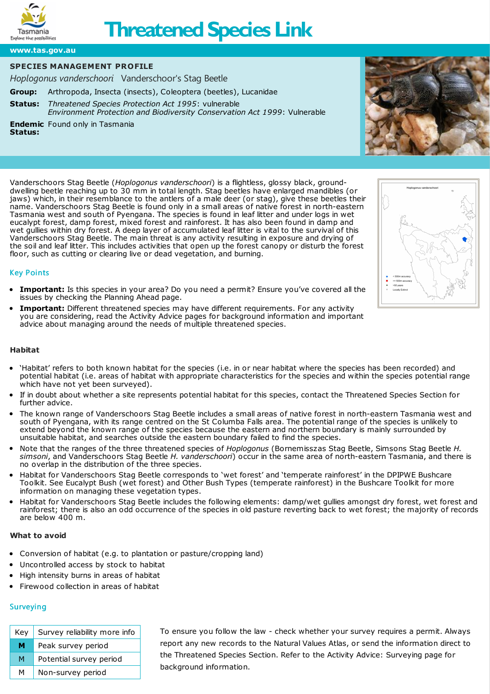

# **Threatened Species Link**

**[www.tas.gov.au](https://www.tas.gov.au)**

### **SPECIES MANAGEMENT PROFILE**

*Hoplogonus vanderschoori* Vanderschoor's Stag Beetle

**Group:** Arthropoda, Insecta (insects), Coleoptera (beetles), Lucanidae

**[Status:](http://www.nre.tas.gov.au/inter.nsf/WebPages/RLIG-5433LB?open)** *Threatened Species Protection Act 1995*: vulnerable *Environment Protection and Biodiversity Conservation Act 1999*: Vulnerable

**Endemic** Found only in Tasmania **Status:**

Vanderschoors Stag Beetle (*Hoplogonus vanderschoori*) is a flightless, glossy black, grounddwelling beetle reaching up to 30 mm in total length. Stag beetles have enlarged mandibles (or jaws) which, in their resemblance to the antlers of a male deer (or stag), give these beetles their name. Vanderschoors Stag Beetle is found only in a small areas of native forest in north-eastern Tasmania west and south of Pyengana. The species is found in leaf litter and under logs in wet eucalypt forest, damp forest, mixed forest and rainforest. It has also been found in damp and wet gullies within dry forest. A deep layer of accumulated leaf litter is vital to the survival of this Vanderschoors Stag Beetle. The main threat is any activity resulting in exposure and drying of the soil and leaf litter. This includes activities that open up the forest canopy or disturb the forest floor, such as cutting or clearing live or dead vegetation, and burning.

## Key Points

- **Important:** Is this species in your area? Do you need a permit? Ensure you've covered all the issues by checking the [Planning](https://www.threatenedspecieslink.tas.gov.au/Pages/planning-ahead.aspx) Ahead page.
- **Important:** Different threatened species may have different requirements. For any activity you are considering, read the [Activity](https://www.threatenedspecieslink.tas.gov.au/Pages/Activities.aspx) Advice pages for background information and important advice about managing around the needs of multiple threatened species.

#### **Habitat**

- 'Habitat' refers to both known habitat for the species (i.e. in or near habitat where the species has been recorded) and potential habitat (i.e. areas of habitat with appropriate characteristics for the species and within the species potential range which have not yet been surveyed).
- If in doubt about whether a site represents potential habitat for this species, contact the [Threatened](https://www.threatenedspecieslink.tas.gov.au/Pages/Contact.aspx) Species Section for further advice.
- The known range of Vanderschoors Stag Beetle includes a small areas of native forest in north-eastern Tasmania west and south of Pyengana, with its range centred on the St Columba Falls area. The potential range of the species is unlikely to extend beyond the known range of the species because the eastern and northern boundary is mainly surrounded by unsuitable habitat, and searches outside the eastern boundary failed to find the species.
- Note that the ranges of the three threatened species of *Hoplogonus* (Bornemisszas Stag Beetle, Simsons Stag Beetle *H. simsoni*, and Vanderschoors Stag Beetle *H. vanderschoori*) occur in the same area of north-eastern Tasmania, and there is no overlap in the distribution of the three species.
- Habitat for Vanderschoors Stag Beetle corresponds to 'wet forest' and 'temperate rainforest' in the DPIPWE Bushcare Toolkit. See [Eucalypt](http://www.dpiw.tas.gov.au/inter.nsf/Attachments/LBUN-6AZ9TA/$FILE/kit8a.pdf) Bush (wet forest) and Other Bush [Types](http://www.dpiw.tas.gov.au/inter.nsf/Attachments/LBUN-6AZ9Y6/$FILE/kit9a.pdf) (temperate rainforest) in the Bushcare Toolkit for more information on managing these vegetation types.
- Habitat for Vanderschoors Stag Beetle includes the following elements: damp/wet gullies amongst dry forest, wet forest and rainforest; there is also an odd occurrence of the species in old pasture reverting back to wet forest; the majority of records are below 400 m.

#### **What to avoid**

- Conversion of habitat (e.g. to plantation or pasture/cropping land)
- Uncontrolled access by stock to habitat
- High intensity burns in areas of habitat
- Firewood collection in areas of habitat

# **Surveying**

| Key. | Survey reliability more info |
|------|------------------------------|
| м    | Peak survey period           |
| м    | Potential survey period      |
| м    | Non-survey period            |

To ensure you follow the law - check whether your survey requires a permit. Always report any new records to the [Natural](https://www.naturalvaluesatlas.tas.gov.au/) Values Atlas, or send the information direct to the [Threatened](https://www.threatenedspecieslink.tas.gov.au/Pages/Contact.aspx) Species Section. Refer to the Activity Advice: [Surveying](https://www.threatenedspecieslink.tas.gov.au/pages/surveying.aspx) page for background information.



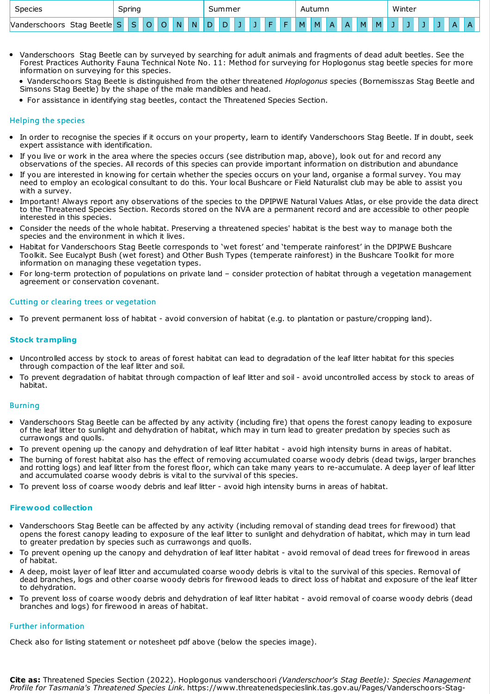| <b>Species</b>                   |        | Spring |  |        |    |    | summer |   |  |  |    |    |    | Autumn |              |              |   |          |  | Winter |  |  |   |  |  |
|----------------------------------|--------|--------|--|--------|----|----|--------|---|--|--|----|----|----|--------|--------------|--------------|---|----------|--|--------|--|--|---|--|--|
| Stag Beetle<br>derschoors<br>Man | $\sim$ |        |  | $\sim$ | N. | N. | D.     | D |  |  | E. | F. | M. | M      | $\mathsf{A}$ | $\mathsf{A}$ | M | <b>M</b> |  |        |  |  | ▵ |  |  |

Vanderschoors Stag Beetle can by surveyed by searching for adult animals and fragments of dead adult beetles. See the Forest Practices Authority Fauna Technical Note No. 11: Method for surveying for [Hoplogonus](http://www.fpa.tas.gov.au/__data/assets/pdf_file/0004/58045/Fauna_Tech_Note_11_Stag_beetle_surveys.pdf) stag beetle species for more information on surveying for this species.

Vanderschoors Stag Beetle is distinguished from the other threatened *Hoplogonus* species (Bornemisszas Stag Beetle and Simsons Stag Beetle) by the shape of the male mandibles and head.

For assistance in identifying stag beetles, contact the [Threatened](https://www.threatenedspecieslink.tas.gov.au/Pages/Contact.aspx) Species Section.

### Helping the species

- In order to recognise the species if it occurs on your property, learn to identify Vanderschoors Stag Beetle. If in doubt, seek expert assistance with identification.
- If you live or work in the area where the species occurs (see distribution map, above), look out for and record any observations of the species. All records of this species can provide important information on distribution and abundance
- If you are interested in knowing for certain whether the species occurs on your land, organise a formal survey. You may need to employ an ecological consultant to do this. Your local Bushcare or Field Naturalist club may be able to assist you with a survey.
- Important! Always report any observations of the species to the DPIPWE [Natural](http://www.naturalvaluesatlas.tas.gov.au/) Values Atlas, or else provide the data direct to the [Threatened](https://www.threatenedspecieslink.tas.gov.au/Pages/Contact.aspx) Species Section. Records stored on the NVA are a permanent record and are accessible to other people interested in this species.
- Consider the needs of the whole habitat. Preserving a threatened species' habitat is the best way to manage both the species and the environment in which it lives.
- Habitat for Vanderschoors Stag Beetle corresponds to 'wet forest' and 'temperate rainforest' in the DPIPWE Bushcare Toolkit. See [Eucalypt](http://www.dpiw.tas.gov.au/inter.nsf/Attachments/LBUN-6AZ9TA/$FILE/kit8a.pdf) Bush (wet forest) and Other Bush [Types](http://www.dpiw.tas.gov.au/inter.nsf/Attachments/LBUN-6AZ9Y6/$FILE/kit9a.pdf) (temperate rainforest) in the [Bushcare](http://www.dpiw.tas.gov.au/inter.nsf/publications/lbun-6b23w5?open) Toolkit for more information on managing these vegetation types.
- For long-term protection of populations on private land consider protection of habitat through a vegetation management agreement or conservation covenant.

#### Cutting or clearing trees or vegetation

To prevent permanent loss of habitat - avoid conversion of habitat (e.g. to plantation or pasture/cropping land).

#### **Stock trampling**

- Uncontrolled access by stock to areas of forest habitat can lead to degradation of the leaf litter habitat for this species through compaction of the leaf litter and soil.
- To prevent degradation of habitat through compaction of leaf litter and soil avoid uncontrolled access by stock to areas of habitat.

#### **Burning**

- Vanderschoors Stag Beetle can be affected by any activity (including fire) that opens the forest canopy leading to exposure of the leaf litter to sunlight and dehydration of habitat, which may in turn lead to greater predation by species such as currawongs and quolls.
- To prevent opening up the canopy and dehydration of leaf litter habitat avoid high intensity burns in areas of habitat.
- The burning of forest habitat also has the effect of removing accumulated coarse woody debris (dead twigs, larger branches and rotting logs) and leaf litter from the forest floor, which can take many years to re-accumulate. A deep layer of leaf litter and accumulated coarse woody debris is vital to the survival of this species.
- To prevent loss of coarse woody debris and leaf litter avoid high intensity burns in areas of habitat.

#### **Firewood collection**

- Vanderschoors Stag Beetle can be affected by any activity (including removal of standing dead trees for firewood) that opens the forest canopy leading to exposure of the leaf litter to sunlight and dehydration of habitat, which may in turn lead to greater predation by species such as currawongs and quolls.
- To prevent opening up the canopy and dehydration of leaf litter habitat avoid removal of dead trees for firewood in areas of habitat.
- A deep, moist layer of leaf litter and accumulated coarse woody debris is vital to the survival of this species. Removal of dead branches, logs and other coarse woody debris for firewood leads to direct loss of habitat and exposure of the leaf litter to dehydration.
- To prevent loss of coarse woody debris and dehydration of leaf litter habitat avoid removal of coarse woody debris (dead branches and logs) for firewood in areas of habitat.

#### Further information

Check also for listing statement or notesheet pdf above (below the species image).